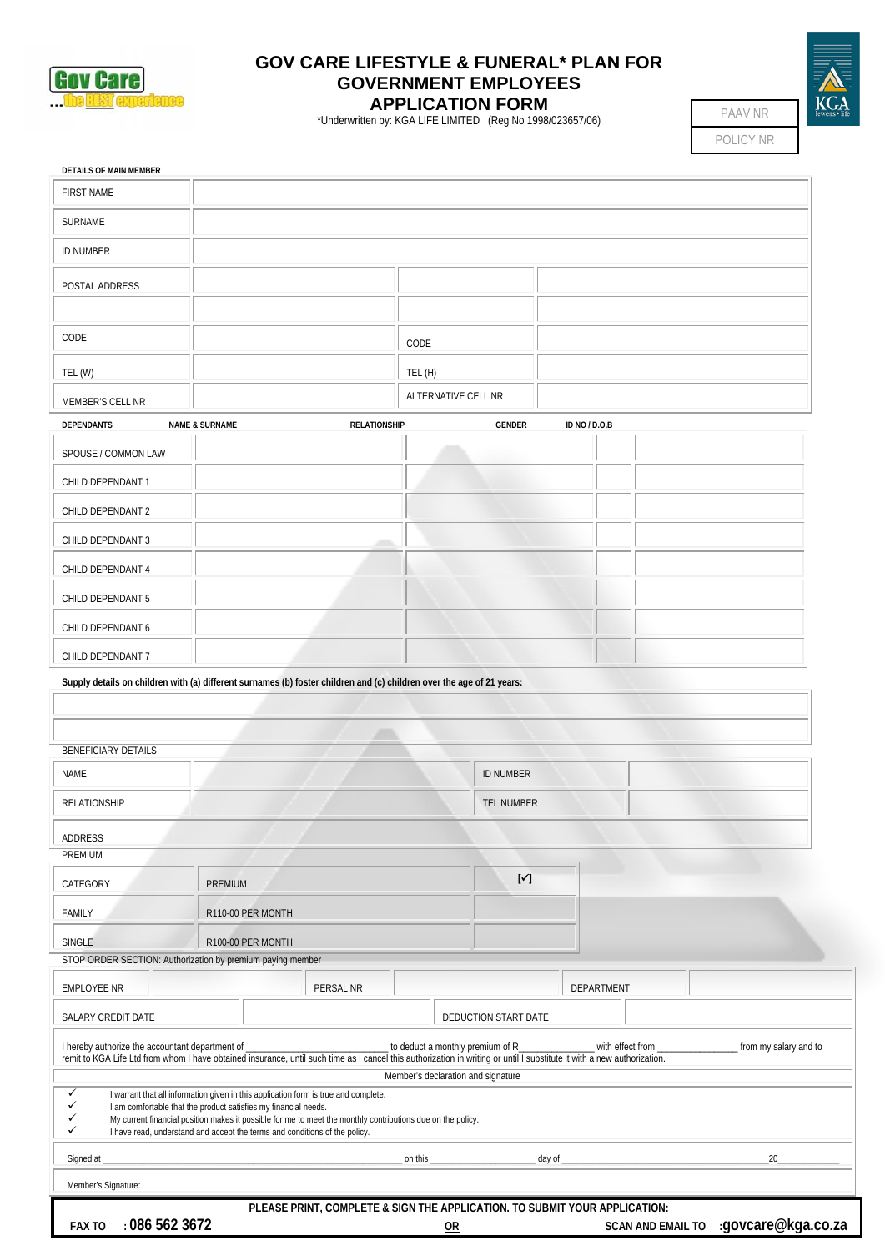

## **GOV CARE LIFESTYLE & FUNERAL\* PLAN FOR GOVERNMENT EMPLOYEES APPLICATION FORM**

\*Underwritten by: KGA LIFE LIMITED (Reg No 1998/023657/06)

| ewens · life |
|--------------|

POLICY NR PAAV NR

| <b>FIRST NAME</b>                                                                                                                                                                                                                              |                                                                                                                                                                                                                                                                                                                                                     |                     |         |                                                                         |                  |               |  |                       |
|------------------------------------------------------------------------------------------------------------------------------------------------------------------------------------------------------------------------------------------------|-----------------------------------------------------------------------------------------------------------------------------------------------------------------------------------------------------------------------------------------------------------------------------------------------------------------------------------------------------|---------------------|---------|-------------------------------------------------------------------------|------------------|---------------|--|-----------------------|
| SURNAME                                                                                                                                                                                                                                        |                                                                                                                                                                                                                                                                                                                                                     |                     |         |                                                                         |                  |               |  |                       |
| <b>ID NUMBER</b>                                                                                                                                                                                                                               |                                                                                                                                                                                                                                                                                                                                                     |                     |         |                                                                         |                  |               |  |                       |
| POSTAL ADDRESS                                                                                                                                                                                                                                 |                                                                                                                                                                                                                                                                                                                                                     |                     |         |                                                                         |                  |               |  |                       |
|                                                                                                                                                                                                                                                |                                                                                                                                                                                                                                                                                                                                                     |                     |         |                                                                         |                  |               |  |                       |
| CODE                                                                                                                                                                                                                                           |                                                                                                                                                                                                                                                                                                                                                     |                     | CODE    |                                                                         |                  |               |  |                       |
| TEL (W)                                                                                                                                                                                                                                        |                                                                                                                                                                                                                                                                                                                                                     |                     | TEL (H) |                                                                         |                  |               |  |                       |
| MEMBER'S CELL NR                                                                                                                                                                                                                               |                                                                                                                                                                                                                                                                                                                                                     |                     |         | ALTERNATIVE CELL NR                                                     |                  |               |  |                       |
| <b>DEPENDANTS</b>                                                                                                                                                                                                                              | <b>NAME &amp; SURNAME</b>                                                                                                                                                                                                                                                                                                                           | <b>RELATIONSHIP</b> |         | GENDER                                                                  |                  | ID NO / D.O.B |  |                       |
| SPOUSE / COMMON LAW                                                                                                                                                                                                                            |                                                                                                                                                                                                                                                                                                                                                     |                     |         |                                                                         |                  |               |  |                       |
| CHILD DEPENDANT 1                                                                                                                                                                                                                              |                                                                                                                                                                                                                                                                                                                                                     |                     |         |                                                                         |                  |               |  |                       |
| CHILD DEPENDANT 2                                                                                                                                                                                                                              |                                                                                                                                                                                                                                                                                                                                                     |                     |         |                                                                         |                  |               |  |                       |
| CHILD DEPENDANT 3                                                                                                                                                                                                                              |                                                                                                                                                                                                                                                                                                                                                     |                     |         |                                                                         |                  |               |  |                       |
|                                                                                                                                                                                                                                                |                                                                                                                                                                                                                                                                                                                                                     |                     |         |                                                                         |                  |               |  |                       |
| CHILD DEPENDANT 4                                                                                                                                                                                                                              |                                                                                                                                                                                                                                                                                                                                                     |                     |         |                                                                         |                  |               |  |                       |
| CHILD DEPENDANT 5                                                                                                                                                                                                                              |                                                                                                                                                                                                                                                                                                                                                     |                     |         |                                                                         |                  |               |  |                       |
| CHILD DEPENDANT 6                                                                                                                                                                                                                              |                                                                                                                                                                                                                                                                                                                                                     |                     |         |                                                                         |                  |               |  |                       |
|                                                                                                                                                                                                                                                |                                                                                                                                                                                                                                                                                                                                                     |                     |         |                                                                         |                  |               |  |                       |
| CHILD DEPENDANT 7<br>Supply details on children with (a) different surnames (b) foster children and (c) children over the age of 21 years:                                                                                                     |                                                                                                                                                                                                                                                                                                                                                     |                     |         |                                                                         |                  |               |  |                       |
|                                                                                                                                                                                                                                                |                                                                                                                                                                                                                                                                                                                                                     |                     |         |                                                                         |                  |               |  |                       |
| <b>BENEFICIARY DETAILS</b><br>NAME                                                                                                                                                                                                             |                                                                                                                                                                                                                                                                                                                                                     |                     |         | <b>ID NUMBER</b>                                                        |                  |               |  |                       |
| <b>RELATIONSHIP</b>                                                                                                                                                                                                                            |                                                                                                                                                                                                                                                                                                                                                     |                     |         | TEL NUMBER                                                              |                  |               |  |                       |
|                                                                                                                                                                                                                                                |                                                                                                                                                                                                                                                                                                                                                     |                     |         |                                                                         |                  |               |  |                       |
|                                                                                                                                                                                                                                                |                                                                                                                                                                                                                                                                                                                                                     |                     |         |                                                                         |                  |               |  |                       |
|                                                                                                                                                                                                                                                | <b>PREMIUM</b>                                                                                                                                                                                                                                                                                                                                      |                     |         | $[\checkmark]$                                                          |                  |               |  |                       |
| CATEGORY<br>FAMILY                                                                                                                                                                                                                             | R110-00 PER MONTH                                                                                                                                                                                                                                                                                                                                   |                     |         |                                                                         |                  |               |  |                       |
|                                                                                                                                                                                                                                                | R100-00 PER MONTH                                                                                                                                                                                                                                                                                                                                   |                     |         |                                                                         |                  |               |  |                       |
| SINGLE                                                                                                                                                                                                                                         |                                                                                                                                                                                                                                                                                                                                                     |                     |         |                                                                         |                  |               |  |                       |
| ADDRESS<br>PREMIUM<br>STOP ORDER SECTION: Authorization by premium paying member<br><b>EMPLOYEE NR</b>                                                                                                                                         |                                                                                                                                                                                                                                                                                                                                                     | PERSAL NR           |         |                                                                         |                  | DEPARTMENT    |  |                       |
|                                                                                                                                                                                                                                                |                                                                                                                                                                                                                                                                                                                                                     |                     |         | DEDUCTION START DATE                                                    |                  |               |  |                       |
| SALARY CREDIT DATE                                                                                                                                                                                                                             |                                                                                                                                                                                                                                                                                                                                                     |                     |         | to deduct a monthly premium of R_<br>Member's declaration and signature | with effect from |               |  | from my salary and to |
| I hereby authorize the accountant department of<br>remit to KGA Life Ltd from whom I have obtained insurance, until such time as I cancel this authorization in writing or until I substitute it with a new authorization.<br>✓<br>✓<br>✓<br>✓ | I warrant that all information given in this application form is true and complete.<br>I am comfortable that the product satisfies my financial needs.<br>My current financial position makes it possible for me to meet the monthly contributions due on the policy.<br>I have read, understand and accept the terms and conditions of the policy. |                     |         |                                                                         |                  |               |  |                       |
| Signed at _                                                                                                                                                                                                                                    |                                                                                                                                                                                                                                                                                                                                                     |                     | on this |                                                                         | day of           |               |  | 20                    |

FAX TO : 086 562 3672 **CONFINGUARY CONSUMING THE SCAN AND EMAIL TO** : govcare@kga.co.za